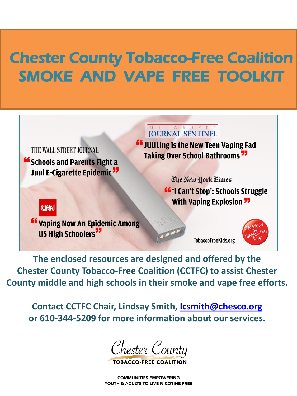## Chester County Tobacco-Free Coalition SMOKE AND VAPE FREE TOOLKIT

 $\overline{1}$ 

THE WALL STREET JOURNAL. **"Schools and Parents Fight a Juul E-Cigarette Epidemic<sup>77</sup>** 

I L W A U K E E **JOURNAL SENTINEL** 

**"** JuuLing is the New Teen Vaping Fad **Taking Over School Bathrooms 77** 

> The New York Times **"** 'I Can't Stop': Schools Struggle **With Vaping Explosion 77**

CNN

" Vaping Now An Epidemic Among **US High Schoolers**<sup>77</sup>

**TobaccoFreeKids.org** 



**The enclosed resources are designed and offered by the Chester County Tobacco-Free Coalition (CCTFC) to assist Chester County middle and high schools in their smoke and vape free efforts.** 

**Contact CCTFC Chair, Lindsay Smith, [lcsmith@chesco.org](mailto:lcsmith@chesco.org) or 610-344-5209 for more information about our services.**

Chester County

TOBACCO-FREE C

**COMMUNITIES EMPOWERING** YOUTH & ADULTS TO LIVE NICOTINE FREE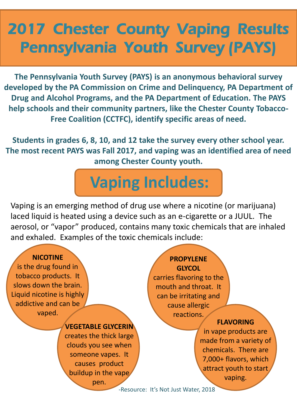## 2017 Chester County Vaping Results Pennsylvania Youth Survey (PAYS)

**The Pennsylvania Youth Survey (PAYS) is an anonymous behavioral survey developed by the PA Commission on Crime and Delinquency, PA Department of Drug and Alcohol Programs, and the PA Department of Education. The PAYS help schools and their community partners, like the Chester County Tobacco-Free Coalition (CCTFC), identify specific areas of need.** 

**Students in grades 6, 8, 10, and 12 take the survey every other school year. The most recent PAYS was Fall 2017, and vaping was an identified area of need among Chester County youth.**

# **Vaping Includes:**

Vaping is an emerging method of drug use where a nicotine (or marijuana) laced liquid is heated using a device such as an e-cigarette or a JUUL. The aerosol, or "vapor" produced, contains many toxic chemicals that are inhaled and exhaled. Examples of the toxic chemicals include:

#### **NICOTINE**

is the drug found in tobacco products. It slows down the brain. Liquid nicotine is highly addictive and can be vaped.

#### **VEGETABLE GLYCERIN**

creates the thick large clouds you see when someone vapes. It causes product buildup in the vape

pen.

### **PROPYLENE GLYCOL**

carries flavoring to the mouth and throat. It can be irritating and cause allergic reactions.

#### **FLAVORING**

in vape products are made from a variety of chemicals. There are 7,000+ flavors, which attract youth to start vaping.

-Resource: It's Not Just Water, 2018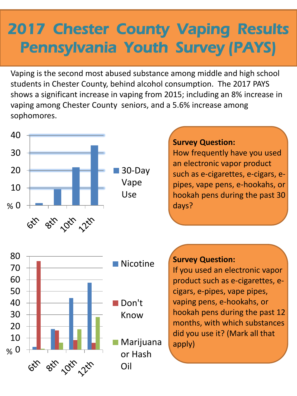# 2017 Chester County Vaping Results Pennsylvania Youth Survey (PAYS)

Vaping is the second most abused substance among middle and high school students in Chester County, behind alcohol consumption. The 2017 PAYS shows a significant increase in vaping from 2015; including an 8% increase in vaping among Chester County seniors, and a 5.6% increase among sophomores.

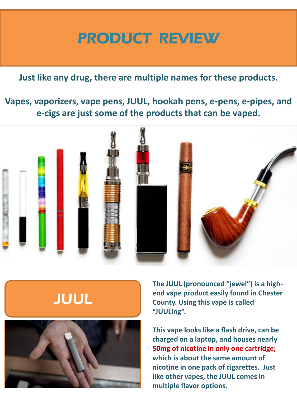## PRODUCT REVIEW

### **Just like any drug, there are multiple names for these products.**

**Vapes, vaporizers, vape pens, JUUL, hookah pens, e-pens, e-pipes, and e-cigs are just some of the products that can be vaped.**





**The JUUL (pronounced "jewel") is a highend vape product easily found in Chester County. Using this vape is called "JUULing".**

**This vape looks like a flash drive, can be charged on a laptop, and houses nearly 50mg of nicotine in only one cartridge; which is about the same amount of nicotine in one pack of cigarettes. Just like other vapes, the JUUL comes in multiple flavor options.**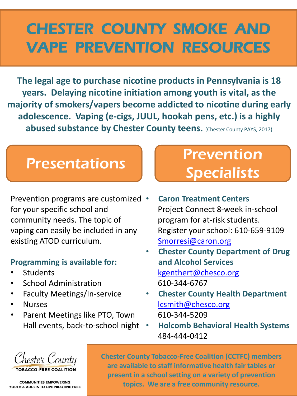## CHESTER COUNTY SMOKE AND VAPE PREVENTION RESOURCES

**The legal age to purchase nicotine products in Pennsylvania is 18 years. Delaying nicotine initiation among youth is vital, as the majority of smokers/vapers become addicted to nicotine during early adolescence. Vaping (e-cigs, JUUL, hookah pens, etc.) is a highly abused substance by Chester County teens.** (Chester County PAYS, 2017)

Prevention programs are customized • for your specific school and community needs. The topic of vaping can easily be included in any existing ATOD curriculum.

### **Programming is available for:**

- **Students**
- School Administration
- Faculty Meetings/In-service
- Nurses
- Parent Meetings like PTO, Town Hall events, back-to-school night

## Presentations **Prevention Specialists**

- **Caron Treatment Centers** Project Connect 8-week in-school program for at-risk students. Register your school: 610-659-9109 [Smorresi@caron.org](mailto:Smorresi@caron.org)
- **Chester County Department of Drug and Alcohol Services** [kgenthert@chesco.org](mailto:kgenthert@chesco.org) 610-344-6767
- **Chester County Health Department** [lcsmith@chesco.org](mailto:lcsmith@chesco.org) 610-344-5209
- **Holcomb Behavioral Health Systems** 484-444-0412

Chester County

ORACCO-EREE COALITION

**Chester County Tobacco-Free Coalition (CCTFC) members are available to staff informative health fair tables or present in a school setting on a variety of prevention topics. We are a free community resource.**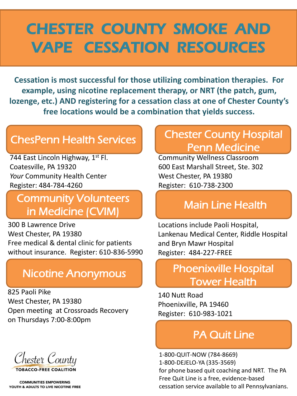## CHESTER COUNTY SMOKE AND VAPE CESSATION RESOURCES

**Cessation is most successful for those utilizing combination therapies. For example, using nicotine replacement therapy, or NRT (the patch, gum, lozenge, etc.) AND registering for a cessation class at one of Chester County's free locations would be a combination that yields success.**

### ChesPenn Health Services

744 East Lincoln Highway, 1st Fl. Coatesville, PA 19320 *Your* Community Health Center Register: 484-784-4260

### Community Volunteers in Medicine (CVIM)

300 B Lawrence Drive West Chester, PA 19380 Free medical & dental clinic for patients without insurance. Register: 610-836-5990

### Nicotine Anonymous

825 Paoli Pike West Chester, PA 19380 Open meeting at Crossroads Recovery on Thursdays 7:00-8:00pm

Chester County

**TOBACCO-FREE COALITION** 

**COMMUNITIES EMPOWERING** YOUTH & ADULTS TO LIVE NICOTINE FREE

## Chester County Hospital Penn Medicine

Community Wellness Classroom 600 East Marshall Street, Ste. 302 West Chester, PA 19380 Register: 610-738-2300

### Main Line Health

Locations include Paoli Hospital, Lankenau Medical Center, Riddle Hospital and Bryn Mawr Hospital Register: 484-227-FREE

### Phoenixville Hospital Tower Health

140 Nutt Road Phoenixville, PA 19460 Register: 610-983-1021

### **PA Quit Line**

1-800-QUIT-NOW (784-8669) 1-800-DEJELO-YA (335-3569) for phone based quit coaching and NRT. The PA Free Quit Line is a free, evidence-based cessation service available to all Pennsylvanians.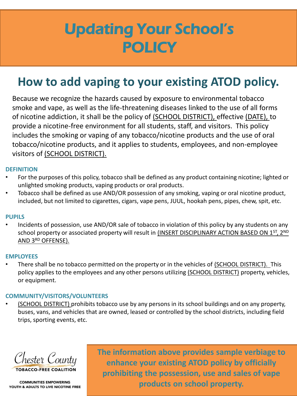## Updating Your School's **POLICY**

## **How to add vaping to your existing ATOD policy.**

Presentations of the sense of the sense of the sense of the sense of the sense of the sense of the sense of the sense of the sense of the sense of the sense of the sense of the sense of the sense of the sense of the sense Because we recognize the hazards caused by exposure to environmental tobacco smoke and vape, as well as the life-threatening diseases linked to the use of all forms of nicotine addiction, it shall be the policy of (SCHOOL DISTRICT), effective (DATE), to provide a nicotine-free environment for all students, staff, and visitors. This policy includes the smoking or vaping of any tobacco/nicotine products and the use of oral tobacco/nicotine products, and it applies to students, employees, and non-employee visitors of (SCHOOL DISTRICT).

#### **DEFINITION**

- For the purposes of this policy, tobacco shall be defined as any product containing nicotine; lighted or unlighted smoking products, vaping products or oral products.
- Tobacco shall be defined as use AND/OR possession of any smoking, vaping or oral nicotine product, included, but not limited to cigarettes, cigars, vape pens, JUUL, hookah pens, pipes, chew, spit, etc.

#### **PUPILS**

• Incidents of possession, use AND/OR sale of tobacco in violation of this policy by any students on any school property or associated property will result in (INSERT DISCIPLINARY ACTION BASED ON 1ST, 2ND AND 3RD OFFENSE).

#### **EMPLOYEES**

• There shall be no tobacco permitted on the property or in the vehicles of (SCHOOL DISTRICT). This policy applies to the employees and any other persons utilizing (SCHOOL DISTRICT) property, vehicles, or equipment.

#### **COMMUNITY/VISITORS/VOLUNTEERS**

• (SCHOOL DISTRICT) prohibits tobacco use by any persons in its school buildings and on any property, buses, vans, and vehicles that are owned, leased or controlled by the school districts, including field trips, sporting events, etc.

Chester County

ORACCO-EREE COALITION

**The information above provides sample verbiage to enhance your existing ATOD policy by officially prohibiting the possession, use and sales of vape products on school property.**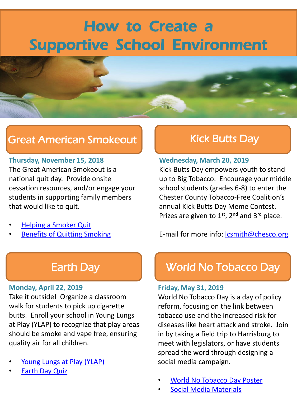## How to Create a Supportive School Environment



## Great American Smokeout

#### **Thursday, November 15, 2018**

The Great American Smokeout is a national quit day. Provide onsite cessation resources, and/or engage your students in supporting family members that would like to quit.

- [Helping a Smoker Quit](https://www.cancer.org/healthy/stay-away-from-tobacco/helping-a-smoker-quit.html)
- **[Benefits of Quitting Smoking](https://www.cancer.org/healthy/stay-away-from-tobacco/benefits-of-quitting-smoking-over-time.html)**

### Kick Butts Day

#### **Wednesday, March 20, 2019**

Kick Butts Day empowers youth to stand up to Big Tobacco. Encourage your middle school students (grades 6-8) to enter the Chester County Tobacco-Free Coalition's annual Kick Butts Day Meme Contest. Prizes are given to  $1^{st}$ ,  $2^{nd}$  and  $3^{rd}$  place.

E-mail for more info: **lcsmith@chesco.org** 

#### **Monday, April 22, 2019**

Take it outside! Organize a classroom walk for students to pick up cigarette butts. Enroll your school in Young Lungs at Play (YLAP) to recognize that play areas should be smoke and vape free, ensuring quality air for all children.

- [Young Lungs at Play \(YLAP\)](http://www.sepatobaccofree.org/young-lungs-play-0)
- **[Earth Day Quiz](https://www.earthday.org/earth-day-quiz/)**

### Earth Day **World No Tobacco Day**

### **Friday, May 31, 2019**

World No Tobacco Day is a day of policy reform, focusing on the link between tobacco use and the increased risk for diseases like heart attack and stroke. Join in by taking a field trip to Harrisburg to meet with legislators, or have students spread the word through designing a social media campaign.

- [World No Tobacco Day Poster](http://www.who.int/campaigns/no-tobacco-day/2018/poster/en/)
- [Social Media Materials](http://www.who.int/campaigns/no-tobacco-day/2018/social-media/en/)